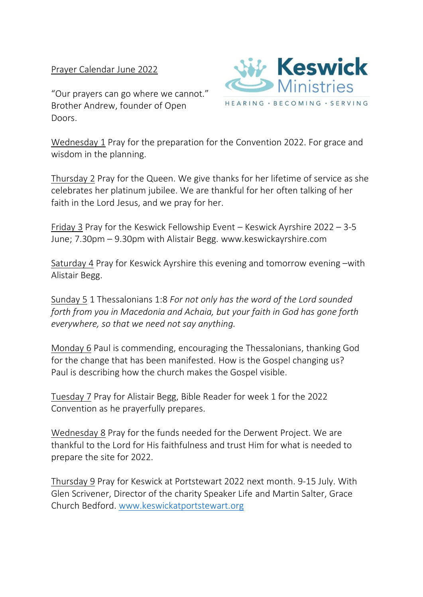Prayer Calendar June 2022

"Our prayers can go where we cannot." Brother Andrew, founder of Open Doors.



Wednesday 1 Pray for the preparation for the Convention 2022. For grace and wisdom in the planning.

Thursday 2 Pray for the Queen. We give thanks for her lifetime of service as she celebrates her platinum jubilee. We are thankful for her often talking of her faith in the Lord Jesus, and we pray for her.

Friday 3 Pray for the Keswick Fellowship Event – Keswick Ayrshire 2022 – 3-5 June; 7.30pm – 9.30pm with Alistair Begg. www.keswickayrshire.com

Saturday 4 Pray for Keswick Ayrshire this evening and tomorrow evening –with Alistair Begg.

Sunday 5 1 Thessalonians 1:8 *For not only has the word of the Lord sounded forth from you in Macedonia and Achaia, but your faith in God has gone forth everywhere, so that we need not say anything.*

Monday 6 Paul is commending, encouraging the Thessalonians, thanking God for the change that has been manifested. How is the Gospel changing us? Paul is describing how the church makes the Gospel visible.

Tuesday 7 Pray for Alistair Begg, Bible Reader for week 1 for the 2022 Convention as he prayerfully prepares.

Wednesday 8 Pray for the funds needed for the Derwent Project. We are thankful to the Lord for His faithfulness and trust Him for what is needed to prepare the site for 2022.

Thursday 9 Pray for Keswick at Portstewart 2022 next month. 9-15 July. With Glen Scrivener, Director of the charity Speaker Life and Martin Salter, Grace Church Bedford. [www.keswickatportstewart.org](http://www.keswickatportstewart.org/)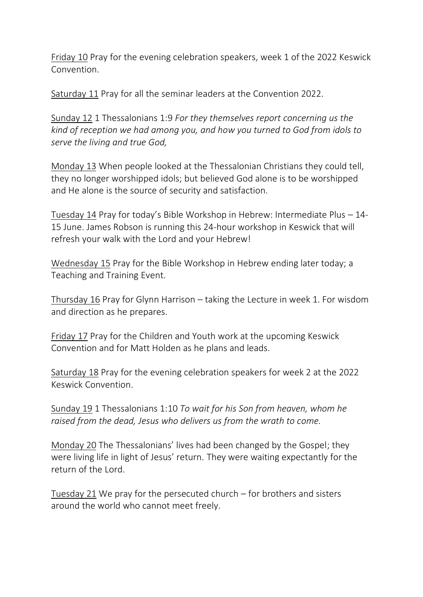Friday 10 Pray for the evening celebration speakers, week 1 of the 2022 Keswick Convention.

Saturday 11 Pray for all the seminar leaders at the Convention 2022.

Sunday 12 1 Thessalonians 1:9 *For they themselves report concerning us the kind of reception we had among you, and how you turned to God from idols to serve the living and true God,*

Monday 13 When people looked at the Thessalonian Christians they could tell, they no longer worshipped idols; but believed God alone is to be worshipped and He alone is the source of security and satisfaction.

Tuesday 14 Pray for today's Bible Workshop in Hebrew: Intermediate Plus – 14- 15 June. James Robson is running this 24-hour workshop in Keswick that will refresh your walk with the Lord and your Hebrew!

Wednesday 15 Pray for the Bible Workshop in Hebrew ending later today; a Teaching and Training Event.

Thursday 16 Pray for Glynn Harrison – taking the Lecture in week 1. For wisdom and direction as he prepares.

Friday 17 Pray for the Children and Youth work at the upcoming Keswick Convention and for Matt Holden as he plans and leads.

Saturday 18 Pray for the evening celebration speakers for week 2 at the 2022 Keswick Convention.

Sunday 19 1 Thessalonians 1:10 *To wait for his Son from heaven, whom he raised from the dead, Jesus who delivers us from the wrath to come.*

Monday 20 The Thessalonians' lives had been changed by the Gospel; they were living life in light of Jesus' return. They were waiting expectantly for the return of the Lord.

Tuesday 21 We pray for the persecuted church – for brothers and sisters around the world who cannot meet freely.